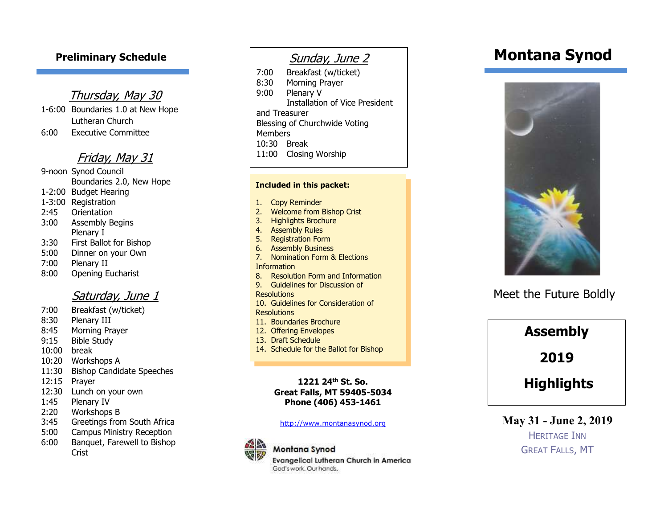### Thursday, May 30

1 -6:00 Boundaries 1.0 at New Hope Lutheran Church 6:00 Executive Committee

### Friday, May 31

- 9 -noon Synod Council Boundaries 2.0, New Hope 1 -2: 0 0 Budget Hearing 1 -3:00 Registration 2:45 Orientation 3:00 Assembly Begins
- Plenary I
- 3:30 First Ballot for Bishop
- 5: Dinner on your Own
- 7:00 Plenary II
- 8:00 Opening Eucharist

### <u>Saturday, June 1</u>

- 7:00 Breakfast (w/ticket)
- 8:30 Plenary III
- 8:45 Morning Prayer
- 9:15 Bible Study
- 10:00 break
- 10:20 Workshops A
- 11:30 Bishop Candidate Speeches
- 12:15 Prayer
- 12:30 Lunch on your own
- 1:45 Plenary IV
- 2:20 Workshops B
- 3:45 Greetings from South Africa
- 5:00 Campus Ministry Reception
- 6: 0 0 Banquet, Farewell to Bishop Crist

## Sunday, June 2

7:00 Breakfast (w/ticket) 8:30 Morning Prayer 9:00 Plenary V Installation of Vice President and Treasurer Blessing of Churchwide Voting **Members** 10:30 Break 11:00 Closing Worship

#### **Included in this packet:**

- 1. Copy Reminder
- 2. Welcome from Bishop Crist
- 3. Highlights Brochure
- 4. Assembly Rules
- 5. Registration Form
- 6. Assembly Business
- 7. Nomination Form & Elections
- **Information**
- 8. Resolution Form and Information
- 9. Guidelines for Discussion of
- **Resolutions**
- 10. Guidelines for Consideration of **Resolutions**
- 11. Boundaries Brochure
- 12. Offering Envelopes
- 13. Draft Schedule
- 14. Schedule for the Ballot for Bishop

#### **1221 24th St. So. Great Falls, MT 59405 -5034 Phone (406) 453 -1461**

#### [http://www.montanasynod.org](http://www.montanasynod.org/)



### Montana Synod

**Evangelical Lutheran Church in America** God's work, Our hands.

# **Preliminary Schedule Montana Synod Montana Synod**



## Meet the Future Boldly



### **May 31 - June 2, 201 9** HERITAGE INN **GREAT FALLS, MT**